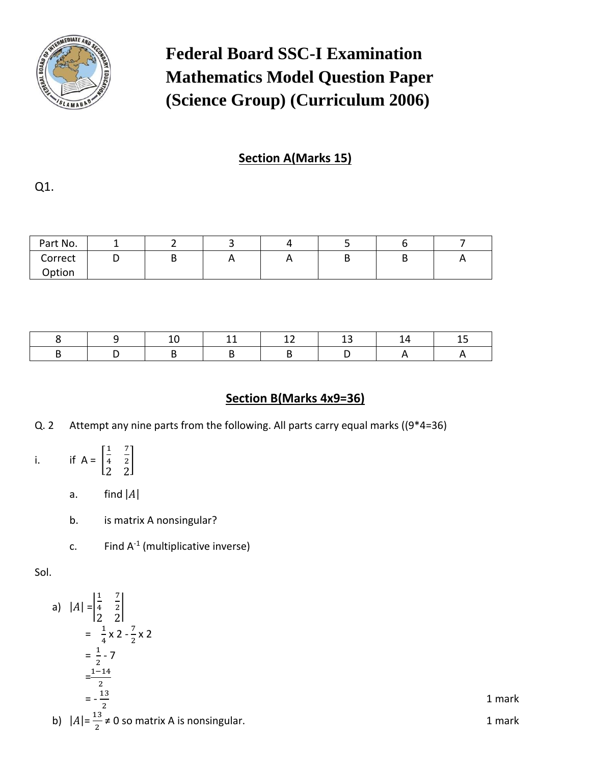

# **Federal Board SSC-I Examination Mathematics Model Question Paper (Science Group) (Curriculum 2006)**

## **Section A(Marks 15)**

Q1.

| Part No. |   |  |          |   |   |
|----------|---|--|----------|---|---|
| Correct  | ັ |  | <u>r</u> | ັ | n |
| Option   |   |  |          |   |   |

## **Section B(Marks 4x9=36)**

- Q. 2 Attempt any nine parts from the following. All parts carry equal marks ((9\*4=36)
- i. if  $A =$ 1 4 7 2 2 2 ]
	- a. find  $|A|$
	- b. is matrix A nonsingular?
	- c. Find  $A^{-1}$  (multiplicative inverse)

Sol.

a) 
$$
|A| = \begin{vmatrix} \frac{1}{4} & \frac{7}{2} \\ \frac{1}{2} & \frac{1}{2} \end{vmatrix}
$$
  
\n $= \frac{1}{4} \times 2 - \frac{7}{2} \times 2$   
\n $= \frac{1}{2} - 7$   
\n $= \frac{1-14}{2}$   
\n $= -\frac{13}{2}$   
\n $|A| = \frac{13}{2} \neq 0$  so matrix A is nonsingular.

1 mark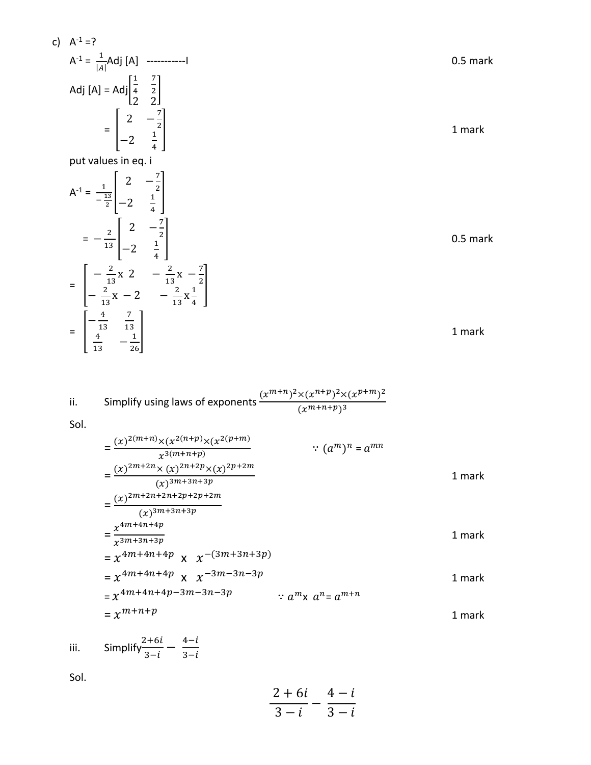$$
\frac{2+6i}{3-i} - \frac{4-i}{3-i}
$$

Sol.

iii. Simplify 
$$
\frac{2+6i}{3-i} - \frac{4-i}{3-i}
$$

$$
= \frac{(x)^{2(m+n)} \times (x^{2(n+p)} \times (x^{2(p+m)})}{x^{3(m+n+p)}}
$$
  
\n
$$
= \frac{(x)^{2m+2n} \times (x)^{2n+2p} \times (x)^{2p+2m}}{(x)^{3m+3n+3p}}
$$
  
\n
$$
= \frac{(x)^{2m+2n+2n+2p+2p+2m}}{(x)^{3m+3n+3p}}
$$
  
\n
$$
= \frac{x^{4m+4n+4p}}{x^{3m+3n+3p}}
$$
  
\n
$$
= x^{4m+4n+4p} \times x^{-(3m+3n+3p)}
$$
  
\n
$$
= x^{4m+4n+4p} \times x^{-3m-3n-3p}
$$
  
\n
$$
= x^{4m+4n+4p-3m-3n-3p}
$$
  
\n
$$
= x^{4m+n+4p}
$$
  
\n
$$
= x^{4m+n+4p}
$$
  
\n
$$
= x^{4m+n+4p}
$$
  
\n
$$
= x^{4m+n+4p}
$$
  
\n
$$
= x^{4m+n+4p}
$$
  
\n
$$
= x^{4m+n+4p}
$$
  
\n
$$
= x^{4m+n+4p}
$$
  
\n
$$
= x^{4m+n+4p}
$$
  
\n
$$
= x^{4m+n+4p}
$$
  
\n
$$
= x^{4m+n+4p}
$$
  
\n
$$
= x^{4m+n+4p}
$$
  
\n
$$
= x^{4m+n+4p}
$$
  
\n
$$
= x^{4m+n+4p}
$$
  
\n
$$
= x^{4m+n+4p}
$$
  
\n
$$
= x^{4m+n+4p}
$$
  
\n
$$
= x^{4m+n+4p}
$$
  
\n
$$
= x^{4m+n+4p}
$$
  
\n
$$
= x^{4m+n+4p}
$$
  
\n
$$
= x^{4m+4n+4p}
$$
  
\n
$$
= x^{4m+4n+4p}
$$
  
\n
$$
= x^{4m+4n+4p}
$$
  
\n
$$
= x^{4m+4n+4p
$$

Sol.

c)  $A^{-1} = ?$ 

ii. Simplify using laws of exponents 
$$
\frac{(x^{m+n})^2 \times (x^{n+p})^2 \times (x^{p+m})^2}{(x^{m+n+p})^3}
$$

A -1 = 1 || Adj [A] -----------I 0.5 mark Adj [A] = Adj[ 1 4 7 2 2 2 ] = [ 2 − 7 2 −2 1 4 ] 1 mark put values in eq. i A -1 = 1 − 13 2 [ 2 − 7 2 −2 1 4 ] = − 2 <sup>13</sup> [ 2 − 7 2 −2 1 4 ] 0.5 mark = [ − 2 13 x 2 − 2 13 x − 7 2 − 2 13 x − 2 − 2 13 x 1 4 ] = [ − 4 13 7 13 4 13 − 1 26] 1 mark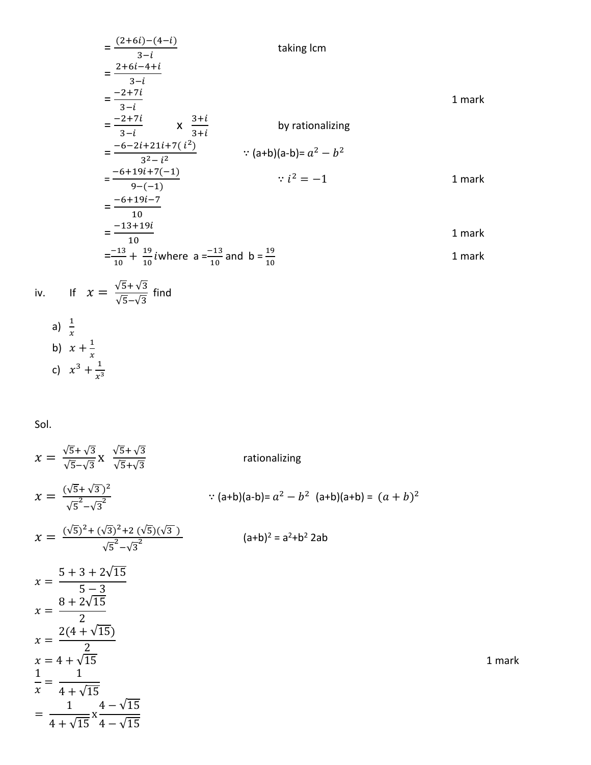$$
\frac{(2+6i)-(4-i)}{3-i}
$$
 taking lcm  
\n
$$
\frac{2+6i-4+i}{3-i}
$$
 taking lcm  
\n
$$
\frac{-2+7i}{3-i}
$$
 taking lcm  
\n
$$
\frac{-2+7i}{3-i}
$$
 taking lcm  
\n
$$
\frac{-2+7i}{3-i}
$$
 taking lcm  
\n
$$
\frac{-2+7i}{3-i}
$$
 taking lcm  
\n
$$
\frac{-2+7i}{3-i}
$$
 taking lcm  
\n
$$
\frac{-2+7i}{3-i}
$$
 taking lcm  
\n
$$
\frac{-2+7i}{3-i}
$$

Sol.

a)  $\frac{1}{x}$ 

$$
x = \frac{\sqrt{5} + \sqrt{3}}{\sqrt{5} - \sqrt{3}} x \frac{\sqrt{5} + \sqrt{3}}{\sqrt{5} + \sqrt{3}}
$$
  
\n
$$
x = \frac{(\sqrt{5} + \sqrt{3})^2}{\sqrt{5} - \sqrt{3}^2}
$$
  
\n
$$
x = \frac{(\sqrt{5})^2 + (\sqrt{3})^2 + 2(\sqrt{5})(\sqrt{3})}{\sqrt{5} - \sqrt{3}^2}
$$
  
\n
$$
x = \frac{5 + 3 + 2\sqrt{15}}{\sqrt{5} - 3}
$$
  
\n
$$
x = \frac{8 + 2\sqrt{15}}{2}
$$
  
\n
$$
x = \frac{2(4 + \sqrt{15})}{2}
$$
  
\n
$$
x = 4 + \sqrt{15}
$$
  
\n
$$
x = \frac{1}{4 + \sqrt{15}}
$$
  
\n
$$
x = \frac{1}{4 + \sqrt{15}}
$$
  
\n
$$
x = \frac{1}{4 + \sqrt{15}}
$$
  
\n
$$
x = \frac{1}{4 + \sqrt{15}}
$$
  
\n
$$
x = \frac{1}{4 + \sqrt{15}}
$$
  
\n
$$
x = \frac{1}{4 + \sqrt{15}} \frac{1}{4 - \sqrt{15}}
$$
  
\n
$$
x = \frac{1}{4 + \sqrt{15}} \frac{1}{4 - \sqrt{15}} = \frac{1}{4 + \sqrt{15}} \frac{1}{4 - \sqrt{15}}
$$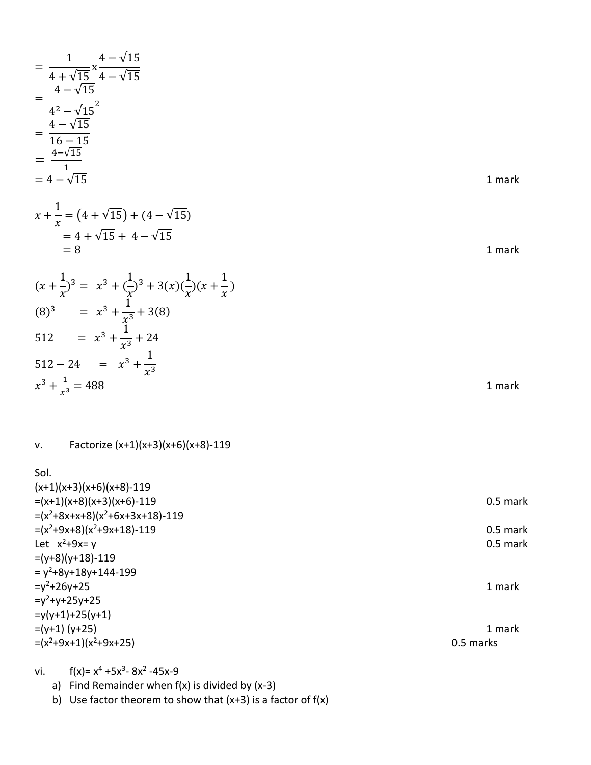$$
\frac{1}{4+\sqrt{15}} \times \frac{4-\sqrt{15}}{4-\sqrt{15}} = \frac{4-\sqrt{15}}{4^2-\sqrt{15}}
$$
\n
$$
= \frac{4-\sqrt{15}}{16-15}
$$
\n
$$
= \frac{4-\sqrt{15}}{1}
$$
\n
$$
= 4-\sqrt{15}
$$
\n
$$
= 4-\sqrt{15}
$$
\n
$$
= 4+\sqrt{15} + 4-\sqrt{15}
$$
\n
$$
= 8
$$
\n
$$
(x + \frac{1}{x})^3 = x^3 + (\frac{1}{x})^3 + 3(x)(\frac{1}{x})(x + \frac{1}{x})
$$
\n(8)<sup>3</sup> = x<sup>3</sup> +  $\frac{1}{x^3}$  + 3(8)  
\n512 = x<sup>3</sup> +  $\frac{1}{x^3}$  + 3(8)  
\n512 = x<sup>3</sup> +  $\frac{1}{x^3}$  + 3(8)  
\n512 = x<sup>3</sup> +  $\frac{1}{x^3}$  + 24  
\n512-24 = x<sup>3</sup> +  $\frac{1}{x^3}$   
\n $x^3 + \frac{1}{x^3} = 488$   
\n1 mark  
\nv. Factorize (x+1)(x+3)(x+6)(x+8)-119  
\nSoI.  
\n(x+1)(x+3)(x+6)(x+8)-119  
\n= (x<sup>2</sup>+8x+x+8)(x<sup>2</sup>+6x+3x+18)-119  
\n= (x<sup>2</sup>+8x+3x+8)(x<sup>2</sup>+6x+3x+18)-119  
\n= (x<sup>2</sup>+8x+8)(x<sup>2</sup>+6x+3x+18)-119  
\nLet x<sup>2</sup>+9x-y  
\n0.5 mark  
\n= y<sup>2</sup>+8y+y 1  
\n10.5 mark

 $=y^2+26y+25$  1 mark

 $=(y+1)$  (y+25) 1 mark  $=(x^2+9x+1)(x^2+9x+25)$  0.5 marks

vi.  $f(x)=x^4+5x^3-8x^2-45x-9$ 

 $=y^2+y+25y+25$ =y(y+1)+25(y+1)

a) Find Remainder when  $f(x)$  is divided by  $(x-3)$ 

b) Use factor theorem to show that  $(x+3)$  is a factor of  $f(x)$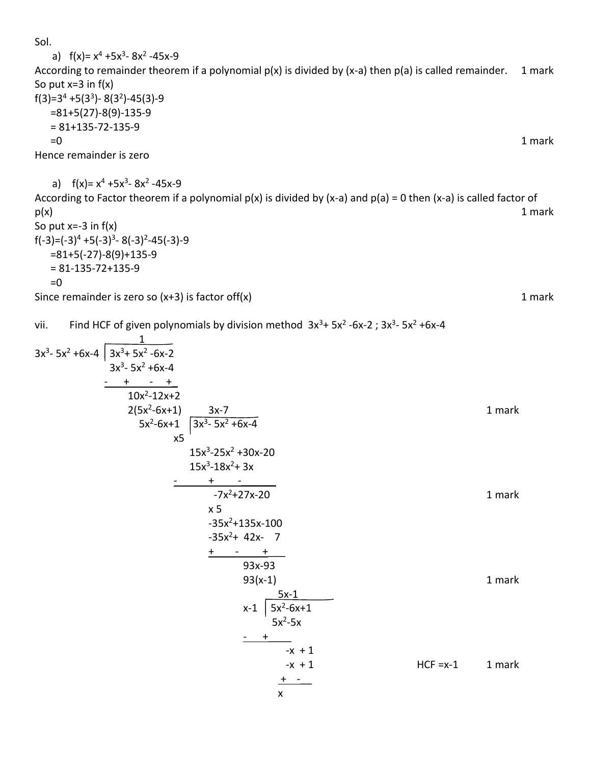Sol.

a) 
$$
f(x)= x^4 + 5x^3 - 8x^2 - 45x - 9
$$
  
\nAccording to remainder theorem if a polynomial  $p(x)$  is divided by  $(x-a)$  then  $p(a)$  is called remainder. 1 mark  
\nSo put  $x=3$  in  $f(x)$   
\n $f(3)=3^4 + 5(3^3) - 8(3^2) - 45(3) - 9$   
\n $=81+5(27)-8(9)-135-9$   
\n $=81+135-72-135-9$   
\nHence remainder is zero  
\na)  $f(x)= x^4 + 5x^3 - 8x^2 - 45x - 9$   
\nAccording to Factor theorem if a polynomial  $p(x)$  is divided by  $(x-a)$  and  $p(a) = 0$  then  $(x-a)$  is called factor of  
\n $p(x)$   
\nSo put  $x=-3$  in  $f(x)$   
\nSo put  $x=-3$  in  $f(x)$   
\nSo put  $x=-3$  in  $f(x)$   
\n $f(-3)=(-3)^4 + 5(-3)^3 - 8(-3)^2 - 45(-3)-9$   
\n $=81+5(-27)-8(9)+135-9$   
\n $=81+135-72+135-9$   
\n $=81-135-72+135-9$   
\n $=0$   
\nSince remainder is zero so  $(x+3)$  is factor of  $f(x)$   
\n1 mark

vii. Find HCF of given polynomials by division method 
$$
3x^3 + 5x^2 - 6x - 2
$$
;  $3x^3 - 5x^2 + 6x - 4$ 

3x<sup>3</sup>- 5x<sup>2</sup> + 6x-4 
$$
\overline{\begin{array}{c} 3x^3+5x^2-6x-2 \\ 3x^3-5x^2+6x-4 \\ - & + & - & + \\ 10x^2-12x+2 \\ 2(5x^2-6x+1) \\ 5x^2-6x+1 \\ x5 \end{array}} \quad \begin{array}{c} 1 \\ 3x^3-5x^2 \\ 3x^3-5x^2+6x-4 \\ x5 \end{array}
$$
1 mark  
\n
$$
\begin{array}{c} 1 \\ 1 \\ 5x^3-25x^2+6x-4 \\ x5 \end{array}
$$
1 mark  
\n
$$
\begin{array}{c} 1 \\ 1 \\ 5x^3-18x^2+3x \\ -7x^2+27x-20 \\ x5 \end{array}
$$
1 mark  
\n
$$
\begin{array}{c} - & + & - \\ 3 \\ 3x^2+135x-100 \\ x5 \end{array}
$$
2 x+42x-7  
\n
$$
\begin{array}{c} + & - & + \\ 9 \\ 3x-93 \\ 93(x-1) \\ x-1 \end{array}
$$
1 mark  
\n
$$
\begin{array}{c} 5x-1 \\ x+1 \\ 5x^2-5x+1 \\ x+1 \\ x+1 \end{array}
$$
1 mark  
\n
$$
\begin{array}{c} 1 \\ 1 \\ 4 \end{array}
$$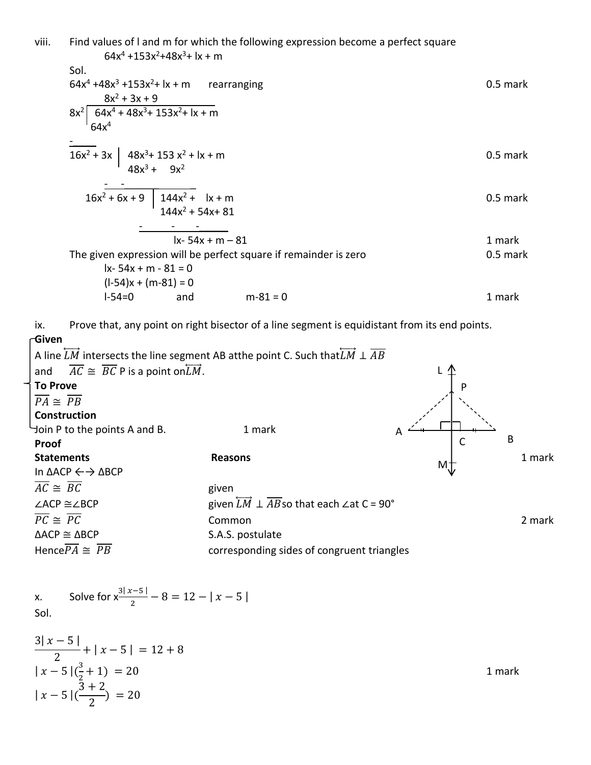viii. Find values of l and m for which the following expression become a perfect square 64x<sup>4</sup> +153x<sup>2</sup>+48x<sup>3</sup>+ lx + m Sol. 64x<sup>4</sup> +48x<sup>3</sup> +153x<sup>2</sup>+ lx + m rearranging 0.5 mark 8x<sup>2</sup> + 3x + 9 8x<sup>2</sup> 64x<sup>4</sup> + 48x <sup>3</sup>+ 153x <sup>2</sup>+ lx + m 64x<sup>4</sup> -\_\_\_\_ 16x<sup>2</sup> + 3x 48x<sup>3</sup>+ 153 x<sup>2</sup> + lx + m 0.5 mark 48x<sup>3</sup> + 9x<sup>2</sup> - -\_\_\_\_\_\_ \_ 16x<sup>2</sup> + 6x + 9 144x<sup>2</sup> + lx + m 0.5 mark 144x<sup>2</sup> + 54x+ 81 - - -\_\_\_\_\_ lx- 54x + m – 81 1 mark The given expression will be perfect square if remainder is zero 0.5 mark lx- 54x + m - 81 = 0 (l-54)x + (m-81) = 0 l-54=0 and m-81 = 0 1 mark

ix. Prove that, any point on right bisector of a line segment is equidistant from its end points.

**Given** A line  $\overleftrightarrow{LM}$  intersects the line segment AB atthe point C. Such that  $\overleftrightarrow{LM} \perp \overrightarrow{AB}$ and  $\overline{AC} \cong \overline{BC}$  P is a point on  $\overline{LM}$ . **To Prove**  $\overline{PA} \cong \overline{PB}$ **Construction** Join P to the points A and B. 1 mark **Proof Statements** 1 mark In ΔACP ←→ ΔBCP  $\overline{AC} \cong \overline{BC}$  given ∠ACP ≅∠BCP given  $\overrightarrow{LM} \perp \overrightarrow{AB}$  so that each ∠at C = 90°  $PC \cong PC$  2 mark  $\triangle$ ACP  $\cong$   $\triangle$ BCP S.A.S. postulate Hence  $\overline{PA} \cong \overline{PB}$  corresponding sides of congruent triangles L C B M A P

x. Solve for  $x^{\frac{3|x-5|}{2}} - 8 = 12 - |x-5|$ Sol.

$$
\frac{3|x-5|}{2} + |x-5| = 12 + 8
$$
  
\n
$$
|x-5| \left(\frac{3}{2} + 1\right) = 20
$$
  
\n
$$
|x-5| \left(\frac{3+2}{2}\right) = 20
$$
  
\n1 mark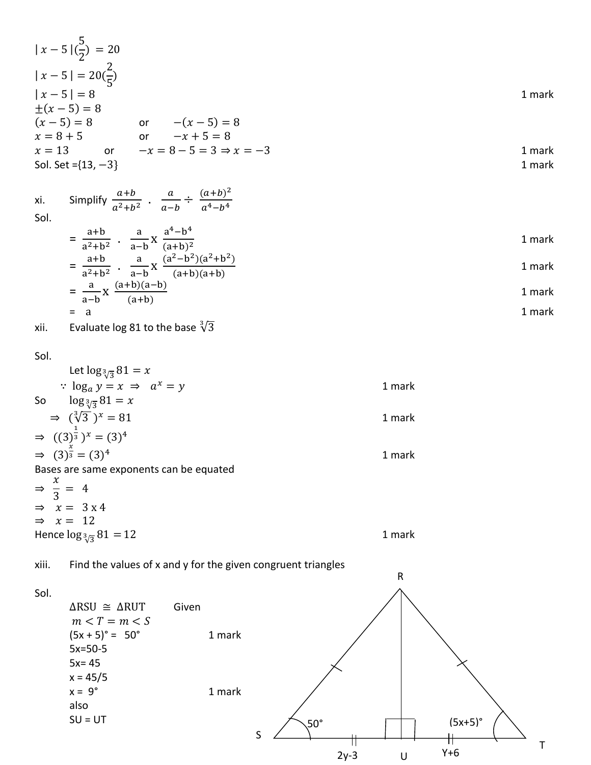|                             | $ x-5 (\frac{5}{2}) = 20$                                                          |        |             |            |           |                |        |
|-----------------------------|------------------------------------------------------------------------------------|--------|-------------|------------|-----------|----------------|--------|
|                             | $ x-5  = 20(\frac{2}{5})$                                                          |        |             |            |           |                |        |
| $ x-5 =8$                   |                                                                                    |        |             |            |           |                | 1 mark |
| $\pm(x-5)=8$                |                                                                                    |        |             |            |           |                |        |
|                             | $(x-5) = 8$ or $-(x-5) = 8$<br>$x = 8 + 5$ or $-x + 5 = 8$                         |        |             |            |           |                |        |
|                             | $x = 13$ or $-x = 8 - 5 = 3 \Rightarrow x = -3$                                    |        |             |            |           |                | 1 mark |
|                             | Sol. Set = ${13, -3}$                                                              |        |             |            |           |                | 1 mark |
| xi.<br>Sol.                 | Simplify $\frac{a+b}{a^2+b^2}$ . $\frac{a}{a-b} \div \frac{(a+b)^2}{a^4-b^4}$      |        |             |            |           |                |        |
|                             | $=\frac{a+b}{a^2+b^2}$ . $\frac{a}{a-b}X\frac{a^4-b^4}{(a+b)^2}$                   |        |             |            |           |                | 1 mark |
|                             | $=\frac{a+b}{a^2+b^2}$ . $\frac{a}{a-b}$ X $\frac{(a^2-b^2)(a^2+b^2)}{(a+b)(a+b)}$ |        |             |            |           |                | 1 mark |
|                             | $=\frac{a}{a-b}X\frac{(a+b)(a-b)}{(a+b)}$                                          |        |             |            |           |                | 1 mark |
|                             | $=$ a                                                                              |        |             |            |           |                | 1 mark |
| xii.                        | Evaluate log 81 to the base $\sqrt[3]{3}$                                          |        |             |            |           |                |        |
| Sol.                        |                                                                                    |        |             |            |           |                |        |
|                             | Let $\log_{\frac{3}{3}} 81 = x$                                                    |        |             |            |           |                |        |
|                             | $log_a y = x \Rightarrow a^x = y$                                                  |        |             |            | 1 mark    |                |        |
| So                          | $\log_{\frac{3}{3}} 81 = x$                                                        |        |             |            |           |                |        |
|                             | $\Rightarrow$ $(\sqrt[3]{3})^x = 81$                                               |        |             |            | 1 mark    |                |        |
|                             | $\Rightarrow$ $((3)^{\frac{1}{3}})^{x} = (3)^{4}$                                  |        |             |            |           |                |        |
|                             | $\Rightarrow$ $(3)^{\frac{x}{3}} = (3)^4$                                          |        |             |            | 1 mark    |                |        |
|                             | Bases are same exponents can be equated                                            |        |             |            |           |                |        |
| $\Rightarrow \frac{x}{3} =$ | $\overline{4}$                                                                     |        |             |            |           |                |        |
| $\Rightarrow x = 12$        | $\Rightarrow x = 3x4$                                                              |        |             |            |           |                |        |
|                             | Hence $\log_{\frac{3}{3}} 81 = 12$                                                 |        |             |            | 1 mark    |                |        |
|                             |                                                                                    |        |             |            |           |                |        |
| xiii.                       | Find the values of x and y for the given congruent triangles                       |        |             |            | ${\sf R}$ |                |        |
| Sol.                        |                                                                                    |        |             |            |           |                |        |
|                             | Given<br>$\triangle$ RSU $\cong$ $\triangle$ RUT                                   |        |             |            |           |                |        |
|                             | $m < T = m < S$                                                                    |        |             |            |           |                |        |
|                             | $(5x + 5)° = 50°$<br>$5x=50-5$                                                     | 1 mark |             |            |           |                |        |
|                             | $5x = 45$                                                                          |        |             |            |           |                |        |
|                             | $x = 45/5$                                                                         |        |             |            |           |                |        |
|                             | $x = 9^\circ$                                                                      | 1 mark |             |            |           |                |        |
|                             | also                                                                               |        |             |            |           |                |        |
|                             | $SU = UT$                                                                          |        | $\mathsf S$ | $50^\circ$ |           | $(5x+5)°$<br>╫ |        |
|                             |                                                                                    |        |             | $2y-3$     | $\sf U$   | $Y+6$          | Τ      |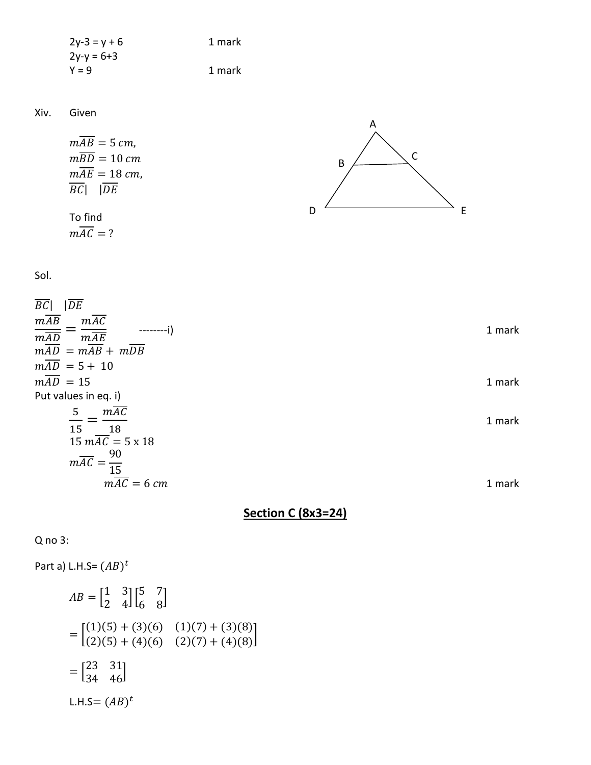$$
2y-3 = y + 6
$$
  
  $2y-y = 6+3$   
  $1$  mark  
  $1$  mark  
  $1$  mark

Xiv. Given

$$
m\overline{AB} = 5 \, \text{cm},
$$
\n
$$
m\overline{BD} = 10 \, \text{cm}
$$
\n
$$
m\overline{AE} = 18 \, \text{cm},
$$
\n
$$
\overline{BC} \mid \overline{DE}
$$
\nTo find\n
$$
m\overline{AC} = ?
$$
\n
$$
D
$$
\n
$$
D
$$

Sol.

| 1 mark |
|--------|
|        |
| 1 mark |
|        |
| 1 mark |
|        |
|        |
| 1 mark |
|        |

**Section C (8x3=24)**

Q no 3:

Part a) L.H.S=  $(AB)^t$  $AB = \begin{bmatrix} 1 & 3 \\ 2 & 4 \end{bmatrix}$  $\begin{bmatrix} 1 & 3 \\ 2 & 4 \end{bmatrix} \begin{bmatrix} 5 & 7 \\ 6 & 8 \end{bmatrix}$  $\begin{bmatrix} 6 & 8 \end{bmatrix}$  $= |$  $(1)(5) + (3)(6)$   $(1)(7) + (3)(8)$  $(2)(5) + (4)(6)$   $(2)(7) + (4)(8)$  $= \begin{bmatrix} 23 & 31 \\ 34 & 46 \end{bmatrix}$ L.H.S=  $(AB)^t$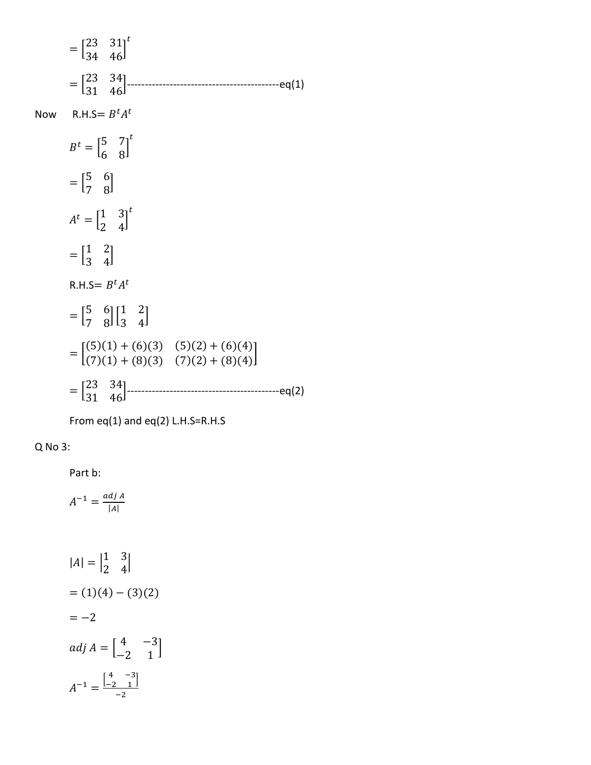| $=\begin{bmatrix} 23 & 31 \\ 34 & 46 \end{bmatrix}^t$                                                    |
|----------------------------------------------------------------------------------------------------------|
| $=\begin{bmatrix} 23 & 34 \\ 31 & 46 \end{bmatrix}$ --------<br>----------------------eq(1)              |
| Now R.H.S= $B^t A^t$                                                                                     |
| $B^t = \begin{bmatrix} 5 & 7 \\ 6 & 8 \end{bmatrix}^t$                                                   |
| $=\begin{bmatrix}5 & 6\\7 & 8\end{bmatrix}$                                                              |
| $A^t = \begin{bmatrix} 1 & 3 \\ 2 & 4 \end{bmatrix}^t$                                                   |
| $=\begin{bmatrix} 1 & 2 \\ 3 & 4 \end{bmatrix}$                                                          |
| R.H.S= $B^t A^t$                                                                                         |
| $= \begin{bmatrix} 5 & 6 \\ 7 & 8 \end{bmatrix} \begin{bmatrix} 1 & 2 \\ 3 & 4 \end{bmatrix}$            |
| $= \begin{bmatrix} (5)(1) + (6)(3) & (5)(2) + (6)(4) \\ (7)(1) + (8)(3) & (7)(2) + (8)(4) \end{bmatrix}$ |
| $=\begin{bmatrix} 23 & 34 \\ 31 & 46 \end{bmatrix}$ ------<br>--------------eq(2)                        |

From eq(1) and eq(2) L.H.S=R.H.S

### Q No 3:

Part b:

$$
A^{-1} = \frac{adj \, A}{|A|}
$$

$$
|A| = \begin{vmatrix} 1 & 3 \\ 2 & 4 \end{vmatrix}
$$
  
= (1)(4) - (3)(2)  
= -2  

$$
adj A = \begin{bmatrix} 4 & -3 \\ -2 & 1 \end{bmatrix}
$$
  

$$
A^{-1} = \frac{\begin{bmatrix} 4 & -3 \\ -2 & 1 \end{bmatrix}}{-2}
$$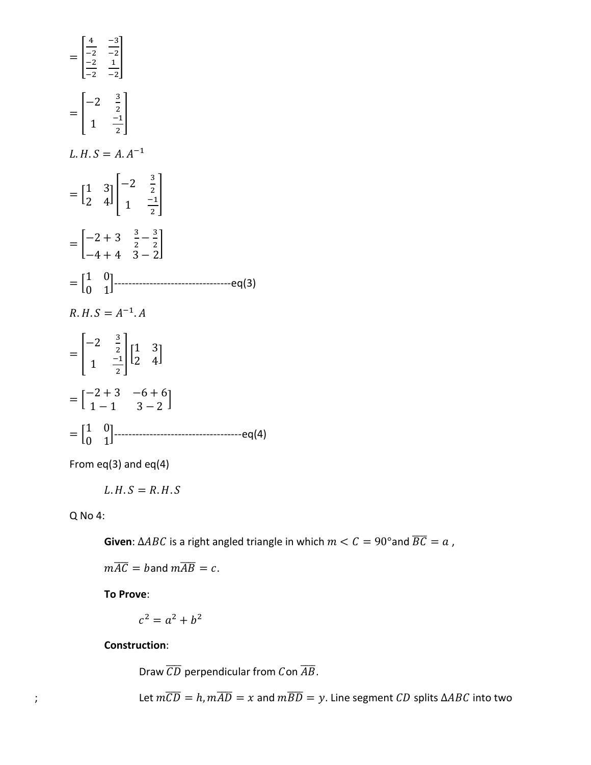

From  $eq(3)$  and  $eq(4)$ 

$$
L.H.S=R.H.S
$$

Q No 4:

**Given**:  $\triangle ABC$  is a right angled triangle in which  $m < C = 90^{\circ}$  and  $\overline{BC} = a$ ,

 $m\overline{AC} =$  band  $m\overline{AB} = c$ .

**To Prove**:

$$
c^2 = a^2 + b^2
$$

**Construction**:

Draw  $\overline{CD}$  perpendicular from Con  $\overline{AB}$ .

; Let  $m\overline{CD} = h$ ,  $m\overline{AD} = x$  and  $m\overline{BD} = y$ . Line segment *CD* splits  $\triangle ABC$  into two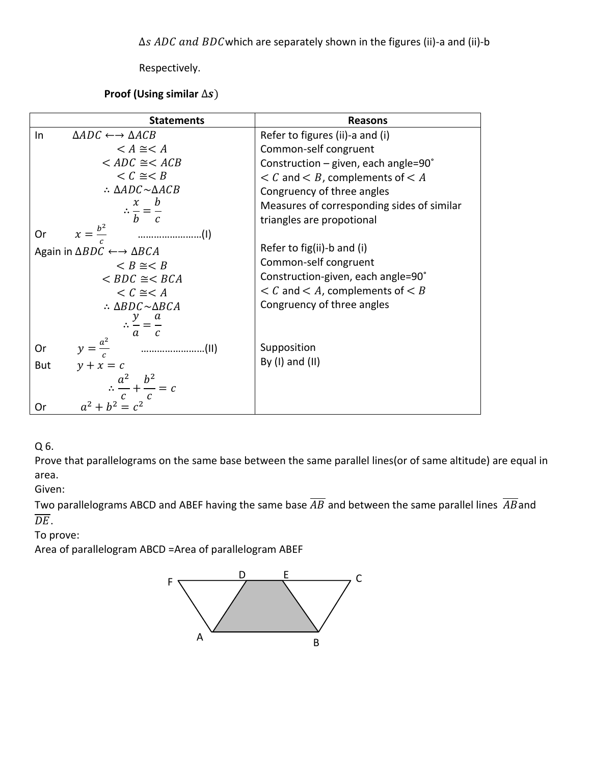∆s ADC and BDC which are separately shown in the figures (ii)-a and (ii)-b

Respectively.

Proof (Using similar  $\Delta s$ )

| <b>Statements</b>                                             | <b>Reasons</b>                               |
|---------------------------------------------------------------|----------------------------------------------|
| $\triangle ADC \leftrightarrow \triangle ACB$<br>In           | Refer to figures (ii)-a and (i)              |
| $\leq A \cong \leq A$                                         | Common-self congruent                        |
| $\angle ADC \cong \angle ACB$                                 | Construction - given, each angle=90°         |
| $\lt C \cong \lt B$                                           | $\lt C$ and $\lt B$ , complements of $\lt A$ |
| $\therefore \triangle ADC \sim \triangle ACB$                 | Congruency of three angles                   |
| $\therefore \frac{x}{b} = \frac{b}{c}$                        | Measures of corresponding sides of similar   |
|                                                               | triangles are propotional                    |
| $x=\frac{b^2}{a}$<br>0r                                       |                                              |
| Again in $\triangle BDC \leftarrow \rightarrow \triangle BCA$ | Refer to fig(ii)-b and (i)                   |
| $\leq B \cong \leq B$                                         | Common-self congruent                        |
| $\angle BDC \cong \angle BCA$                                 | Construction-given, each angle=90°           |
| $\lt C \cong \lt A$                                           | $\lt C$ and $\lt A$ , complements of $\lt B$ |
| $\therefore \triangle BDC \sim \triangle BCA$                 | Congruency of three angles                   |
| $\therefore \frac{y}{z} = \frac{a}{z}$                        |                                              |
| $a$ $c$                                                       |                                              |
| $y=\frac{a^2}{c}$<br>$\cdots$<br><b>Or</b>                    | Supposition                                  |
| $y + x = c$<br>But                                            | By $(I)$ and $(II)$                          |
|                                                               |                                              |
| $\therefore \frac{a^2}{c} + \frac{b^2}{c} = c$                |                                              |
| $a^2 + b^2 = c^2$<br>Or                                       |                                              |

Q 6.

Prove that parallelograms on the same base between the same parallel lines(or of same altitude) are equal in area.

Given:

Two parallelograms ABCD and ABEF having the same base  $\overline{AB}$  and between the same parallel lines  $\overline{AB}$ and  $\overline{DE}$ .

To prove:

Area of parallelogram ABCD =Area of parallelogram ABEF

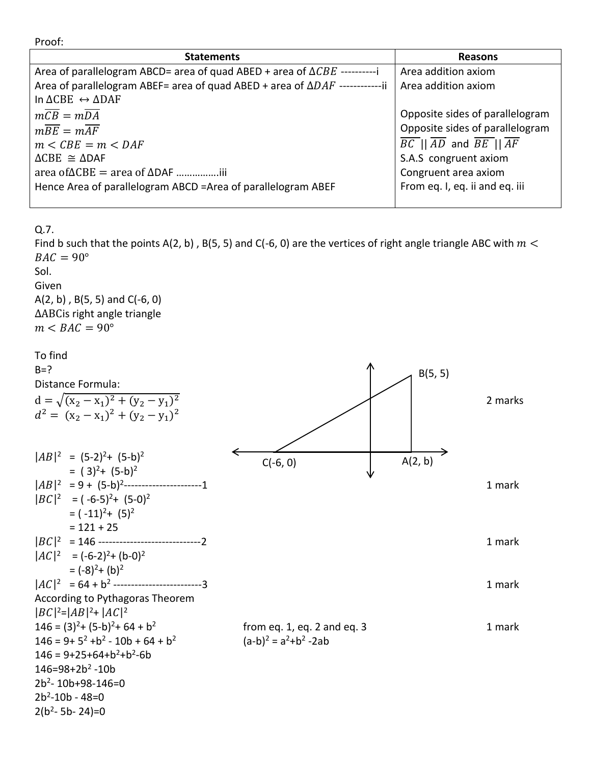Proof:

| <b>Statements</b>                                                                    | <b>Reasons</b>                                                            |
|--------------------------------------------------------------------------------------|---------------------------------------------------------------------------|
| Area of parallelogram ABCD= area of quad ABED + area of $\triangle CBE$ -----------  | Area addition axiom                                                       |
| Area of parallelogram ABEF= area of quad ABED + area of $\Delta DAF$ -------------ii | Area addition axiom                                                       |
| In $\triangle CBE \leftrightarrow \triangle DAF$                                     |                                                                           |
| $m\overline{CB} = m\overline{DA}$                                                    | Opposite sides of parallelogram                                           |
| $m\overline{BE} = m\overline{AF}$                                                    | Opposite sides of parallelogram                                           |
| $m \leq CBE = m \leq DAF$                                                            | $\overline{BC}$    $\overline{AD}$ and $\overline{BE}$    $\overline{AF}$ |
| $\triangle CBE \cong \triangle DAF$                                                  | S.A.S congruent axiom                                                     |
|                                                                                      | Congruent area axiom                                                      |
| Hence Area of parallelogram ABCD =Area of parallelogram ABEF                         | From eq. I, eq. ii and eq. iii                                            |

Q.7.

Find b such that the points A(2, b), B(5, 5) and C(-6, 0) are the vertices of right angle triangle ABC with  $m <$  $BAC = 90^\circ$ 

#### Sol.

Given A(2, b) , B(5, 5) and C(-6, 0) ∆ABCis right angle triangle  $m < BAC = 90^{\circ}$ 

| To find<br>$B=?$                                    |                                    |         |
|-----------------------------------------------------|------------------------------------|---------|
| Distance Formula:                                   | B(5, 5)                            |         |
| $d = \sqrt{(x_2 - x_1)^2 + (y_2 - y_1)^2}$          |                                    | 2 marks |
| $d^{2} = (x_{2} - x_{1})^{2} + (y_{2} - y_{1})^{2}$ |                                    |         |
|                                                     |                                    |         |
| $ AB ^2 = (5-2)^2+(5-b)^2$                          | A(2, b)<br>$C(-6, 0)$              |         |
| $= (3)^2 + (5-b)^2$                                 |                                    |         |
|                                                     |                                    | 1 mark  |
| $ BC ^2 = (-6-5)^2 + (5-0)^2$                       |                                    |         |
| $=(-11)^2+(5)^2$                                    |                                    |         |
| $= 121 + 25$                                        |                                    |         |
|                                                     |                                    | 1 mark  |
| $ AC ^2 = (-6-2)^2 + (b-0)^2$                       |                                    |         |
| $=(-8)^{2}+(b)^{2}$                                 |                                    |         |
| $ AC ^2 = 64 + b^2$ -------------------------3      |                                    | 1 mark  |
| According to Pythagoras Theorem                     |                                    |         |
| $ BC ^2= AB ^2+ AC ^2$                              |                                    |         |
| $146 = (3)^{2} + (5-b)^{2} + 64 + b^{2}$            | from eq. $1$ , eq. $2$ and eq. $3$ | 1 mark  |
| $146 = 9 + 5^2 + b^2 - 10b + 64 + b^2$              | $(a-b)^2 = a^2 + b^2 - 2ab$        |         |
| $146 = 9 + 25 + 64 + b^2 + b^2 - 6b$                |                                    |         |
| $146 = 98 + 2b^2 - 10b$                             |                                    |         |
| $2b^2 - 10b + 98 - 146 = 0$                         |                                    |         |
| $2b^2 - 10b - 48 = 0$                               |                                    |         |
| $2(b^2 - 5b - 24) = 0$                              |                                    |         |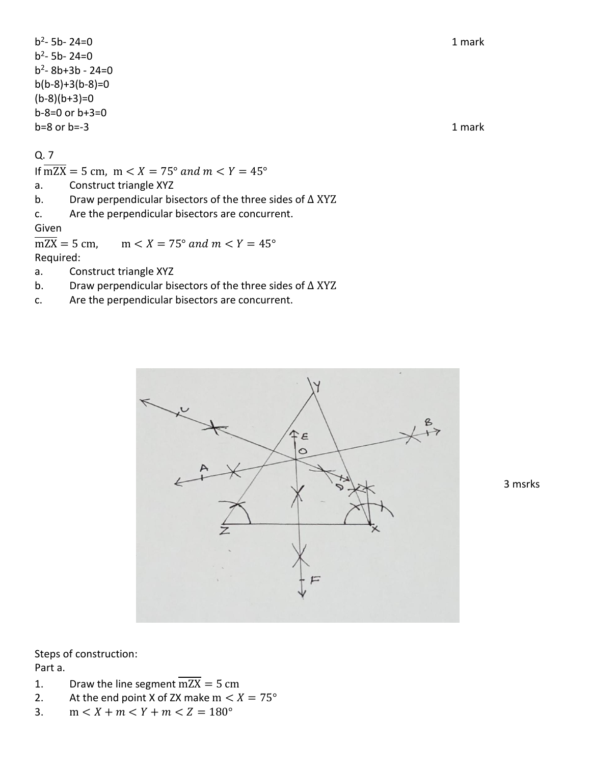$b^2$ - 5b- 24=0 1 mark  $b^2 - 5b - 24 = 0$ b 2 - 8b+3b - 24=0  $b(b-8)+3(b-8)=0$  $(b-8)(b+3)=0$ b-8=0 or b+3=0  $b=8$  or  $b=-3$  1 mark

#### Q. 7

If  $\overline{mZX} = 5$  cm,  $m < X = 75^{\circ}$  and  $m < Y = 45^{\circ}$ 

- a. Construct triangle XYZ
- b. Draw perpendicular bisectors of the three sides of ∆ XYZ
- c. Are the perpendicular bisectors are concurrent.

#### Given

 $\overline{\text{mZX}} = 5 \text{ cm}, \quad \text{m} < X = 75^{\circ} \text{ and } \text{m} < Y = 45^{\circ}$ Required:

- a. Construct triangle XYZ
- b. Draw perpendicular bisectors of the three sides of ∆ XYZ
- c. Are the perpendicular bisectors are concurrent.



3 msrks

Steps of construction:

Part a.

- 1. Draw the line segment  $\overline{mZX} = 5$  cm
- 2. At the end point X of ZX make  $m < X = 75^{\circ}$
- 3.  $m < X + m < Y + m < Z = 180^{\circ}$